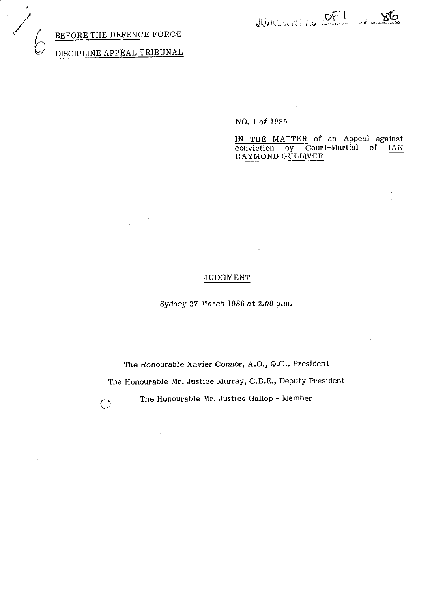## BEFORE THE DEFENCE FORCE

# DISCIPLINE APPEAL TRIBUNAL

## NO. 1 of 1985

IN THE MATTER of an Appeal against<br>conviction by Court-Martial of IAN **conviction by Court-Martial RAYMOND GULLIVER** 

## JUDGMENT

Sydney 27 March 1986 at 2.00 p.m.

The Honourable Xavier Connor, A.O., Q.C., President The Honourable Mr. Justice Murray, C.B.E., Deputy President () The Honourable Mr. Justice Gallop - Member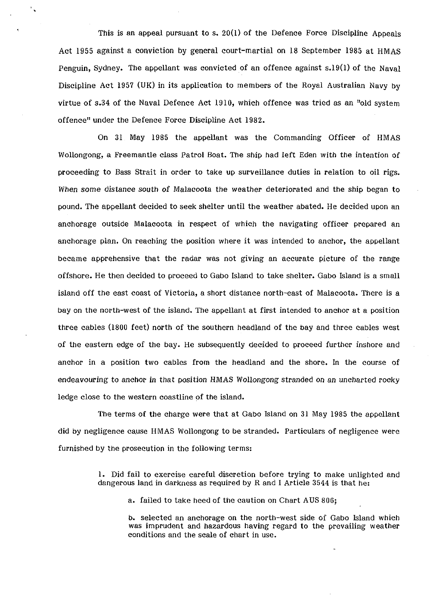This is an appeal pursuant to S. 20(1) of the Defence Force Discipline Appeals Act 1955 against a conviction by general court-martial on 18 September 1985 at HMAS Penguin, Sydney. The appellant was convicted of an offence against s.19(1) of the Naval Discipline Act 1957 **(UK)** in its application to members of the Royal Australian Navy by virtue of s.34 of the Naval Defence Act 1910, which offence was tried as an "old system offence" under the Defence Force Discipline Act 1982.

On 31 May 1985 the appellant was the Commanding Officer of HMAS Wollongong, a Freemantle class Patrol Boat. The ship had left Eden with the intention of proceeding to Bass Strait in order to take up surveillance duties in relation to oil rigs. When some distance south of Malacoota the weather deteriorated and the ship began to pound. The appellant decided to seek shelter until the weather abated. He decided upon an anchorage outside Malacoota in respect of which the navigating officer prepared an anchorage plan. On reaching the position where it was intended to anchor, the appellant became apprehensive that the radar was not giving an accurate picture of the range offshore. He then decided to proceed to Gabo Island to take shelter. Gabo Island is a small island off the east coast of Victoria, a short distance north-east of Malacoota. There is **a**  bay on the north-west of the island. The appellant at first intended to anchor at a position three cables (1800 feet) north of the southern headland of the bay and three cables west of the eastern edge of the bay. He subsequently decided to proceed further inshore and anchor in a position two cables from the headland and the shore. In the course of endeavouring to anchor in that position HMAS Wollongong stranded on an uncharted rocky ledge close to the western coastline of the island.

The terms of the charge were that at Gabo Island on 31 May 1985 the appellant did by negligence cause HMAS Wollongong to be stranded. Particulars of negligence were furnished by the prosecution in the following terms:

> 1. Did fail to exercise careful discretion before trying to make unlighted and dangerous land in darkness as required by R and I Article 3544 is that he:

a. failed to take heed of the caution on Chart AUS 806;

b. selected an anchorage on the north-west side of Gabo Island which was imprudent and hazardous having regard to the prevailing weather conditions and the scale of chart in use.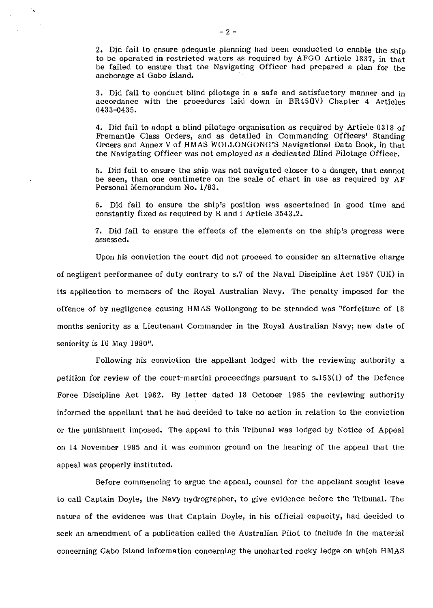2. Did fail to ensure adequate planning had been conducted to enable the ship to be operated in restricted waters as required by AFGO Article 1837, in that he failed to ensure that the Navigating Officer had prepared a plan for the anchorage at Gabo Island.

3. Did fail to conduct blind pilotage in a safe and satisfactory manner and in accordance with the procedures laid down in BR45(IV) Chapter 4 Articles 0433-0435.

4. Did fail to adopt a blind pilotage organisation as required by Article 0318 of Fremantle Class Orders, and as detailed in Commanding Officers' Standing Orders and Annex V of HMAS WOLLONGONG'S Navigational Data Book, in that the Navigating Officer was not employed as a dedicated Blind Pilotage Officer.

5. Did fail to ensure the ship was not navigated closer to a danger, that cannot be seen, than one centimetre on the scale of chart in use as required by AF Personal Memorandum No. 1/83.

6. Did fail to ensure the ship's position was ascertained in good time and constantly fixed as required by R and I Article 3543.2.

7. Did fail to ensure the effects of the elements on the ship's progress were assessed.

Upon his conviction the court did not proceed to consider an alternative charge of negligent performance of duty contrary to s.7 of the Naval Discipline Act 1957 **(UK)** in its application to members of the Royal Australian Navy. The penalty imposed for the offence of by negligence causing HMAS Wollongong to be stranded was "forfeiture of 18 months seniority as a Lieutenant Commander in the Royal Australian Navy; new date of seniority is 16 May 1980".

Following his conviction the appellant lodged with the reviewing authority a petition for review of the court-martial proceedings pursuant to s.153(1) of the Defence Force Discipline Act 1982. By letter dated 18 October 1985 the reviewing authority informed the appellant that he had decided to take no action in relation to the conviction or the punishment imposed. The appeal to this Tribunal was lodged by Notice of Appeal on 14 November 1985 and it was common ground on the hearing of the appeal that the appeal was properly instituted.

Before commencing to argue the appeal, counsel for the appellant sought leave to call Captain Doyle, the Navy hydrographer, to give evidence before the Tribunal. The nature of the evidence was that Captain Doyle, in his official capacity, had decided to seek an amendment of a publication called the Australian Pilot to include in the material concerning Gabo Island information concerning the uncharted rocky ledge on which HMAS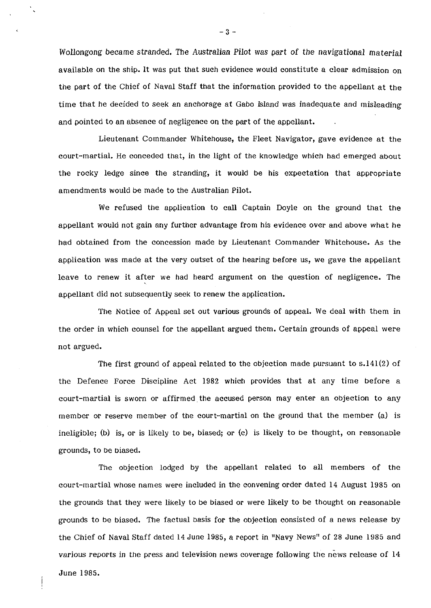WoIlongong became stranded. The Australian Pilot was part of the navigational material available on the ship. It was put that such evidence would constitute a clear admission on the part of the Chief of Naval Staff that the information provided to the appellant at the time that he decided to seek an anchorage at Gabo lsland was inadequate and misleading and pointed to an absence of negligence on the part of the appellant.

Lieutenant Commander Whitehouse, the Fleet Navigator, gave evidence at the court-martial. He conceded that, in the light of the knowledge which had emerged about the rocky ledge since the stranding, it would be his expectation that appropriate amendments would be made to the Australian Pilot.

We refused the application to call Captain Doyle on the ground that the appellant would not gain any further advantage from his evidence over and above what he had obtained from the concession made by Lieutenant Commander Whitehouse. As the application was made at the very outset of the hearing before us, we gave the appellant leave to renew it after we had heard argument on the question of negligence. The appellant did not subsequently seek to renew the application.

The Notice of Appeal set out various grounds of appeal. We deal with them in the order in which counsel for the appellant argued them. Certain grounds of appeal were not argued.

The first ground of appeal related to the objection made pursuant to s.141(2) of the Defence Force Discipline Act 1982 which provides that at any time before a court-martial is sworn or affirmed the accused person may enter an objection to any member or reserve member of the court-martial on the ground that the member (a) is ineligible; (b) is, or is likely to be, biased; or (c) is likely to be thought, on reasonable grounds, to be biased.

The objection lodged by the appellant related to all members of the court-martial whose names were included in the convening order dated 14 August 1985 on the grounds that they were likely to be biased or were likely to be thought on reasonable grounds to be biased. The factual basis for the objection consisted of a news release by the Chief of Naval Staff dated 14 June 1985, a report in "Navy News" of 28 June 1985 and various reports in the press and television news coverage following the news release of 14 June 1985.

 $-3 -$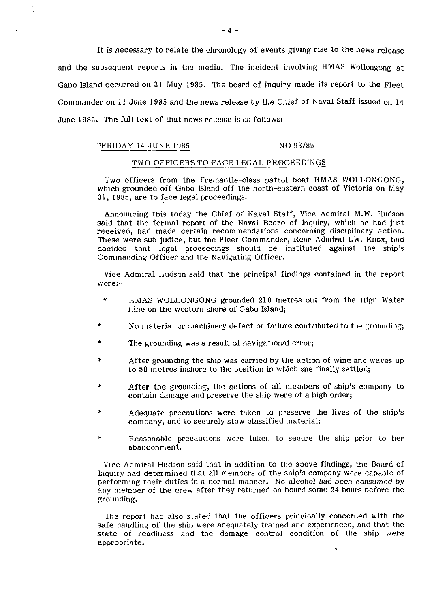It is necessary to relate the chronology of events giving rise to the news release and the subsequent reports in the media. The incident involving HMAS Wollongong at Gabo Island occurred on 31 May 1985. The board of inquiry made its report to the Fleet Commander on 11 June 1985 and the news release Dy the Chief of Naval Staff issued on 14 June 1985. The full text of that news release is as follows:

#### "FRIDAY 14 JUNE 1985 NO 93/85

#### TWO OFFICERS TO FACE LEGAL PROCEEDINGS

Two officers from the Fremantle-class patrol boat HMAS WOLLONGONG, which grounded off Gabo Island off the north-eastern coast of Victoria on May 31, 1985, are to face legal proceedings.

Announcing this today the Chief of Naval Staff, Vice Admiral M.W. Hudson said that the formal report of the Naval Board of Inquiry, which he had just received, had made certain recommendations concerning disciplinary action. These were sub judice, but the Fleet Commander, Rear Admiral I.W. Knox, had decided that legal proceedings should be instituted against the ship's Commanding Officer and the Navigating Officer.

Vice Admiral Hudson said that the principal findings contained in the report were:-

- \* HMAS WOLLONGONG grounded 210 metres out from the High Water Line on the western shore of Gabo Island;
- \* No material or machinery defect or failure contributed to the grounding;
- \* The grounding was a result of navigational error;
- After grounding the ship was carried by the action of wind and waves up to 50 metres inshore to the position in which she finally settled;
- \* After the grounding, the actions of all members of ship's company to contain damage and preserve the ship were of a high order;
- Adequate precautions were taken to preserve the lives of the ship's company, and to securely stow classified material;
- \* Reasonable precautions were taken to secure the ship prior to her abandonment.

Vice Admiral Hudson said that in addition to the above findings, the Board of Inquiry had determined that all members of the ship's company were capable of performing their duties in a normal manner. No alcohol **had** been consumed by any member of the crew after they returned on board some 24 hours before the grounding.

The report had also stated that the officers principally concerned with the safe handling of the ship were adequately trained and experienced, and that the state of readiness and the damage control condition of the ship were appropriate.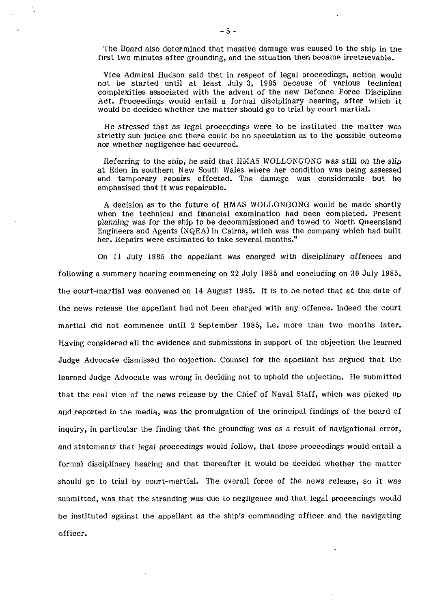The Board also determined that massive damage was caused to the ship in the first two minutes after grounding, and the situation then became irretrievable.

Vice Admiral Hudson said that in respect of legal proceedings, action would not be started until at least July **3,** 1985 because of various technical complexities associated with the advent of the new Defence Force Discipline Act. Proceedings would entail a formal disciplinary hearing, after which it would be decided whether the matter should go to trial by court martial.

He stressed that as legal proceedings were to be instituted the matter was strictly sub judice and there could be no speculation as to the possible outcome nor whether negligence had occurred.

Referring to the ship, he said that HMAS WOLLONGONG was still on the slip at Eden in southern New South Wales where her condition was being assessed and temporary repairs effected. The damage was considerable but he emphasised that it was repairable.

A decision as to the future of HMAS WOLLONGONG would be made shortly when the technical and financial examination had been completed. Present planning was for the ship to be decommissioned and towed to North Queensland Engineers and Agents (NQEA) in Cairns, which was the company which had built her. Repairs were estimated to take several months."

On 11 July 1985 the appellant was charged with disciplinary offences and following a summary hearing commencing on 22 July 1985 and concluding on **30** July 1985, the court-martial was convened on 14 August 1985. It is to be noted that at the date of the news release the appellant had not been charged with any offence. Indeed the court martial did not commence until 2 September 1985, i.e. more than two months later. Having considered all the evidence and submissions in support of the objection the learned Judge Advocate dismissed the objection. Counsel for the appellant has argued that the learned Judge Advocate was wrong in deciding not to uphold the objection. He submitted that the real vice of the news release by the Chief of Naval Staff, which was picked up and reported in the media, was the promulgation of the principal findings of the board of inquiry, in particular the finding that the grounding was as a result of navigational error, and statements that legal proceedings would follow, that those proceedings would entail a formal disciplinary hearing and that thereafter it would be decided whether the matter should go to trial by court-martial. The overall force of the news release, so it was submitted, was that the stranding was due to negligence and that legal proceedings would be instituted against the appellant as the ship's commanding officer and the navigating officer.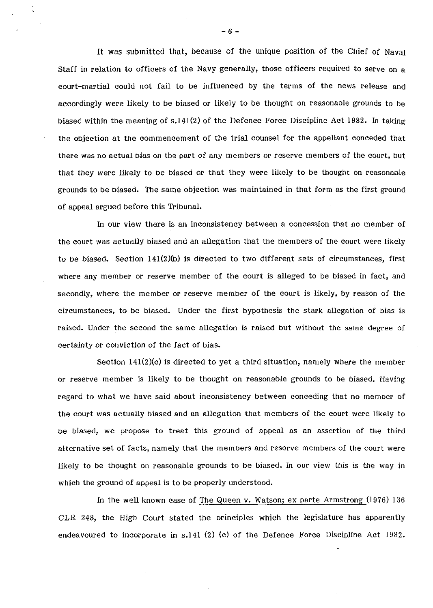It was submitted that, because of the unique position of the Chief of Naval Staff in relation to officers of the Navy generally, those officers required to serve on a court-martial could not fail to be influenced by the terms of the news release and accordingly were likely to be biased or likely to be thought on reasonable grounds to be biased within the meaning of s.141(2) of the Defence Force Discipline Act 1982. In taking the objection at the commencement of the trial counsel for the appellant conceded that there was no actual bias on the part of any members or reserve members of the court, but that they were likely to be biased or that they were likely to be thought on reasonable grounds to be biased. The same objection was maintained in that form as the first ground of appeal argued before this Tribunal.

In our view there is an inconsistency between a concession that no member of the court was actually oiased and an allegation that the members of the court were likely to be biased. Section  $141(2)(b)$  is directed to two different sets of circumstances, first where any member or reserve member of the court is alleged to be biased in fact, and secondly, where the member or reserve member of the court is likely, by reason of the circumstances, to be biased. Under the first hypothesis the stark allegation of bias is raised. Under the second the same allegation is raised but without the same degree of certainty or conviction of the fact of bias.

Section 141(2)(c) is directed to yet a third situation, namely where the member or reserve member is likely to be thought on reasonable grounds to be biased. Having regard to what we have said about inconsistency between conceding that no member of the court was actually biased and an allegation that members of the court were likely to be biased, we propose to treat this ground of appeal as an assertion of the third alternative set of facts, namely that the members and reserve members of the court were likely to be thought on reasonable grounds to be biased. In our view this is the way in which the ground of appeal is to be properly understood.

In the well known case of The Queen v. Watson; ex parte Armstrong (1976) 136  $CLR$  248, the High Court stated the principles which the legislature has apparently endeavoured to incorporate in s.141 (2) (c) of the Defence Force Discipline Act 1982.

 $-6-$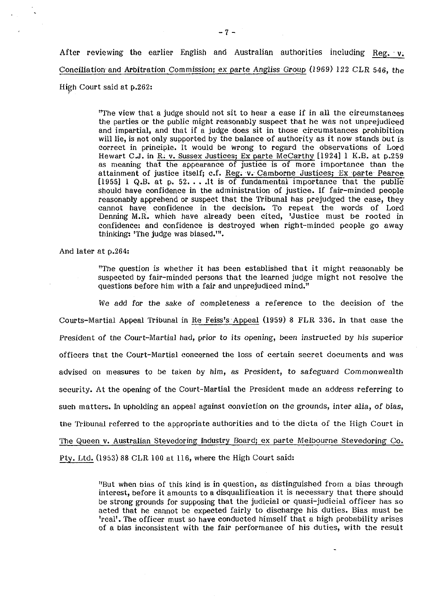After reviewing the earlier English and Australian authorities including Reg. **v.**  Conciliation and Arbitration Commission; ex parte Angliss Group (1969) 122 CLR 546, the High Court said at p.262:

> "The view that a judge should not sit to hear a case if in all the circumstances the parties or the public might reasonably suspect that he was not unprejudiced and impartial, and that if a judge does sit in those circumstances prohibition will lie, is not only supported by the balance of authority as it now stands but is correct in principle. It would be wrong to regard the observations of Lord Hewart C.J. in R. v. Sussex Justices; Ex parte McCarthy [1924] 1 K.B. at p.259 as meaning that the appearance of justice is of more importance than the attainment of justice itself; c.f. Reg. v. Camborne Justices; Ex parte Pearce [1955]  $l$  Q.B. at p. 52... It is of fundamental importance that the public should have confidence in the administration of justice. If fair-minded people reasonably apprehend or suspect that the Tribunal has prejudged the case, they cannot have confidence in the decision. To repeat the words of Lord Denning M.R. which have already been cited, 'Justice must be rooted in confidence: and confidence is destroyed when right-minded people go away thinking: 'The judge was biased."'.

And later at p.264:

"The question is whether it has been established that it might reasonably be suspected by fair-minded persons that the learned judge might not resolve the questions before him with a fair and unprejudiced mind."

We add for the sake of completeness a reference to the decision of the Courts-Martial Appeal Tribunal in Re Feiss's Appeal (1959) 8 FLR 336. In that case the President of the Court-Martial had, prior to its opening, been instructed by his superior officers that the Court-Martial concerned the loss of certain secret documents and was advised on measures to be taken by him, as President, to safeguard Commonwealth security. At the opening of the Court-Martial the President made an address referring to such matters. In upholding an appeal against conviction on the grounds, inter alia, of bias, the Tribunal referred to the appropriate authorities and to the dicta of the High Court in The Queen v. Australian Stevedoring Industry Board; ex parte Melbourne Stevedoring Co. Pty. Ltd. (1953) 88 CLR 100 at 116, where the High Court said:

> "But when bias of this kind is in question, as distinguished from a bias through interest, before it amounts to a disqualification it is necessary that there should be strong grounds for supposing that the judicial or quasi-judicial officer has so acted that he cannot be expected fairly to discharge his duties. Bias must be 'real'. The officer must so have conducted himself that a high probability arises of a bias inconsistent with the fair performance of his duties, with the result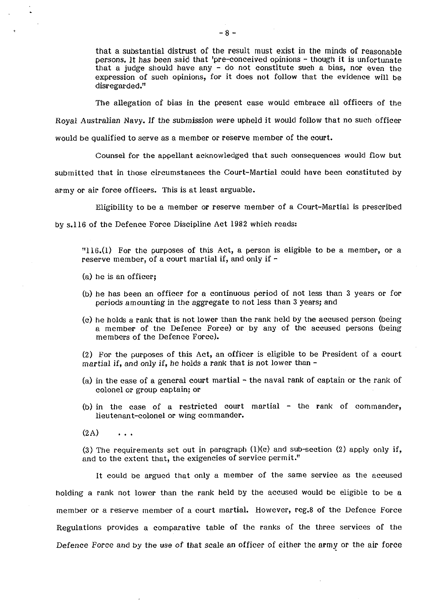that a substantial distrust of the result must exist in the minds of reasonable persons. It has been said that 'pre-conceived opinions - though it is unfortunate that a judge should have any - do not constitute such a bias, nor even the expression of such opinions, for it does not follow that the evidence will be disregarded."

The allegation of bias in the present case would embrace all officers of the Royal Australian Navy. If the submission were upheld it would follow that no such officer would be qualified to serve as a member or reserve member of the court.

Counsel for the appellant acknowledged that such consequences would flow but submitted that in those circumstances the Court-Martial could have been constituted by army or air force officers. This is at least arguable.

Eligibility to be a member or reserve member of a Court-Martial is prescribed

by s.116 of the Defence Force Discipline Act 1982 which reads:

"116.(1) For the purposes of this Act, a person is eligible to be a member, or a reserve member, of a court martial if, and only if  $-$ 

- (a) he is an officer;
- (b) he has been an officer for a continuous period of not less than 3 years or for periods amounting in the aggregate to not less than 3 years; and
- (c) he holds a rank that is not lower than the rank held by the accused person (being a member of the Defence Force) or by any of the accused persons (being members of the Defence Force).

(2) For the purposes of this Act, an officer is eligible to be President of a court martial if, and only if, he holds a rank that is not lower than  $-$ 

- (a) in the case of a general court martial the naval rank of captain or the rank of colonel or group captain; or
- (b) in the case of a restricted court martial the rank of commander, lieutenant-colonel or wing commander.

 $(2A)$  $\mathbf{A}$ 

(3) The requirements set out in paragraph  $(l)(c)$  and sub-section  $(2)$  apply only if, and to the extent that, the exigencies of service permit."

It could be argued that only a member of the same service as the accused holding a rank not lower than the rank held by the accused would be eligible to be a member or a reserve member of a court martial. However, reg.8 of the Defence Force Regulations provides a comparative table of the ranks of the three services of the Defence Force and by the use of that scale an officer of either the army or the air force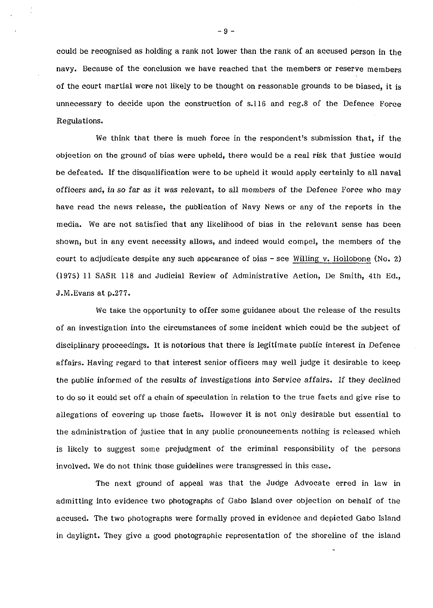could be recognised as holding a rank not lower than the rank of an accused person in the navy. Because of the conclusion we have reached that the members or reserve members of the court martial were not likely to be thought on reasonable grounds to be biased, it is unnecessary to decide upon the construction of s.116 and reg.8 of the Defence Force Regulations.

We think that there is much force in the respondent's submission that, if the objection on the ground of bias were upheld, there would be a real risk that justice would be defeated. If the disqualification were to be upheld it would apply certainly to all naval officers and, in so far as it was relevant, to all members of the Defence Force who may have read the news release, the publication of Navy News or any of the reports in the media. We are not satisfied that any likelihood of bias in the relevant sense has been shown, but in any event necessity allows, and indeed would compel, the members of the court to adjudicate despite any such appearance of bias  $-$  see Willing v. Hollobone (No. 2) (1975) 11 SASR 118 and Judicial Review of Administrative Action, De Smith, 4th Ed., J.M.Evans at p.277.

We take the opportunity to offer some guidance about the release of the results of an investigation into the circumstances of some incident which could be the subject of disciplinary proceedings. It is notorious that there is legitimate public interest in Defence affairs. Having regard to that interest senior officers may well judge it desirable to keep the public informed of the results of investigations into Service affairs. If they declined to do so it could set off a chain of speculation in relation to the true facts and give rise to allegations of covering up those facts. However it is not only desirable but essential to the administration of justice that in any public pronouncements nothing is released which is likely to suggest some prejudgment of the criminal responsibility of the persons involved. We do not think those guidelines were transgressed in this case.

The next ground of appeal was that the Judge Advocate erred in law in admitting into evidence two photographs of Gabo Island over objection on behalf of the accused. The two photographs were formally proved in evidence and depicted Gabo Island in daylight. They give a good photographic representation of the shoreline of the island

**-9** -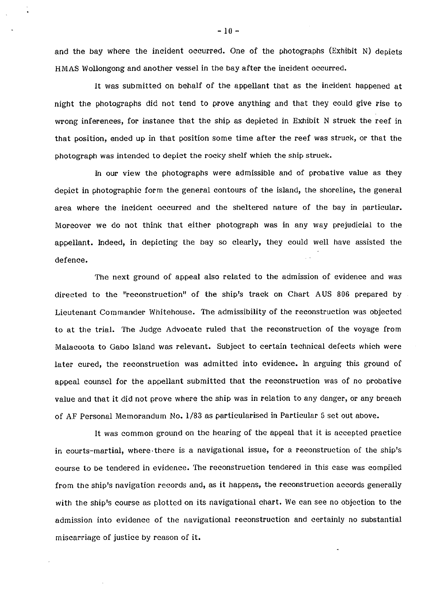and the bay where the incident occurred. One of the photographs (Exhibit N) depicts HMAS Wollongong and another vessel in the bay after the incident occurred.

It was submitted on behalf of the appellant that as the incident happened at night the photographs did not tend to prove anything and that they could give rise to wrong inferences, for instance that the ship as depicted in Exhibit N struck the reef in that position, ended up in that position some time after the reef was struck, or that the photograph was intended to depict the rocky shelf which the ship struck.

In our view the photographs were admissible and of probative value as they depict in photographic form the general contours of the island, the shoreline, the general area where the incident occurred and the sheltered nature of the bay in particular. Moreover we do not think that either photograph was in any way prejudicial to the appellant. Indeed, in depicting the bay so clearly, they could well have assisted the defence.

The next ground of appeal also related to the admission of evidence and was directed to the "reconstruction" of the ship's track on Chart AUS 806 prepared by Lieutenant Commander Whitehouse. The admissibility of the reconstruction was objected to at the trial. The Judge Advocate ruled that the reconstruction of the voyage from Malacoota to Gabo Island was relevant. Subject to certain technical defects which were later cured, the reconstruction was admitted into evidence. In arguing this ground of appeal counsel for the appellant submitted that the reconstruction was of no probative value and that it did not prove where the ship was in relation to any danger, or any breach of AF Personal Memorandum No. **1/83** as particularised in Particular 5 set out above.

It was common ground on the hearing of the appeal that it is accepted practice in courts-martial, where.there is a navigational issue, for a reconstruction of the ship's course to be tendered in evidence. The reconstruction tendered in this case was compiled from the ship's navigation records and, as it happens, the reconstruction accords generally with the ship's course as plotted on its navigational chart. We can see no objection to the admission into evidence of the navigational reconstruction and certainly no substantial miscarriage of justice by reason of it.

 $-10 -$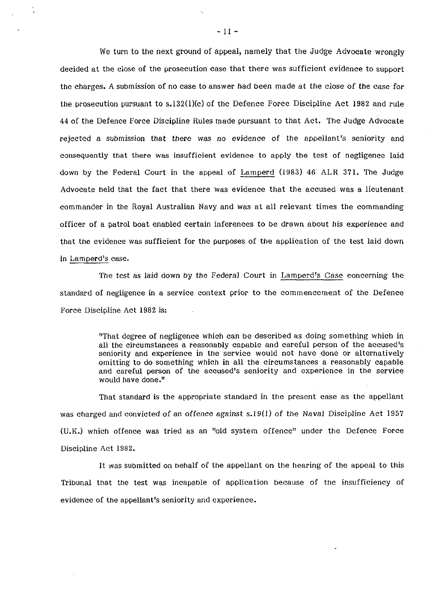We turn to the next ground of appeal, namely that the Judge Advocate wrongly decided at the close of the prosecution case that there was sufficient evidence to support the charges. A submission of no case to answer had been made at the close of the case for the prosecution pursuant to s.l32(l)(c) of the Defence Force Discipline Act 1982 and rule 44 of the Defence Force Discipline Rules made pursuant to that Act. The Judge Advocate rejected a submission that there was no evidence of the appellant's seniority and consequently that there was insufficient evidence to apply the test of negligence laid down by the Federal Court in the appeal of Lamperd (1983) 46 ALR 371. The Judge Advocate held that the fact that there was evidence that the accused was a lieutenant commander in the Royal Australian Navy and was at all relevant times the commanding officer of a patrol boat. enabled certain inferences to be drawn about his experience and that the evidence was sufficient for the purposes of the application of the test laid down in Lamperd's case.

The test as laid down by the Federal Court in Lamperd's Case concerning the standard of negligence in a service context prior to the commencement of the Defence Force Discipline Act 1982 is:

> "That degree of negligence which can be described as doing something which in all the circumstances a reasonably capable and careful person of the accused's seniority and experience in tne service would not have done or alternatively omitting to do something which in all the circumstances a reasonably capable and careful person of the accused's seniority and experience in the service would have done."

That standard is the appropriate standard in the present case as the appellant was charged and convicted of an offence against s.19(1) of the Naval Discipline Act 1957 (U.K.) which offence was tried as an "old system offence" under the Defence Force Discipline Act 1982.

It was submitted on behalf of the appellant on the hearing of the appeal to this Tribunal that the test was incapable of application because of the insufficiency of evidence of the appellant's seniority and experience.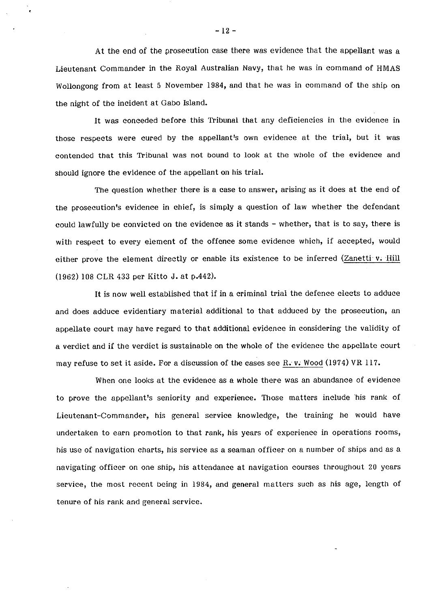At the end of the prosecution case there was evidence that the appellant was a Lieutenant Commander in the Royal Australian Navy, that he was in command of HMAS Wollongong from at least 5 November 1984, and that he was in command of the ship on the night of the incident at Gabo Island.

It was conceded before this Tribunal that any deficiencies in the evidence in those respects were cured by the appellant's own evidence at the trial, but it was contended that this Tribunal was not bound to look at the whole of the evidence and should ignore the evidence of the appellant on his trial.

The question whether there is a case to answer, arising as it does at the end of the prosecution's evidence in chief, is simply a question of law whether the defendant could lawfully be convicted on the evidence as it stands - whether, that is to say, there is with respect to every element of the offence some evidence which, if accepted, would either prove the element directly or enable its existence to be inferred (Zanetti v. Hill (1962) 108 CLR 433 per Kitto J. at p.442).

It is now well established that if in **a** criminal trial the defence elects to adduce and does adduce evidentiary material additional to that adduced by the prosecution, an appellate court may have regard to that additional evidence in considering the validity of a verdict and if the verdict is sustainable on the whole of the evidence the appellate court may refuse to set it aside. For a discussion of the cases see R. v. Wood (1974) VR 117.

When one looks at the evidence as a whole there was an abundance of evidence to prove the appellant's seniority and experience. Those matters include 'his rank of Lieutenant-Commander, his general service knowledge, the training he would have undertaken to earn promotion to that rank, his years of experience in operations rooms, his use of navigation charts, his service as a seaman officer on a number of ships and as a navigating officer on one ship, his attendance at navigation courses throughout 20 years service, the most recent being in 1984, and general matters such as his age, length of tenure of his rank and general service.

 $-12-$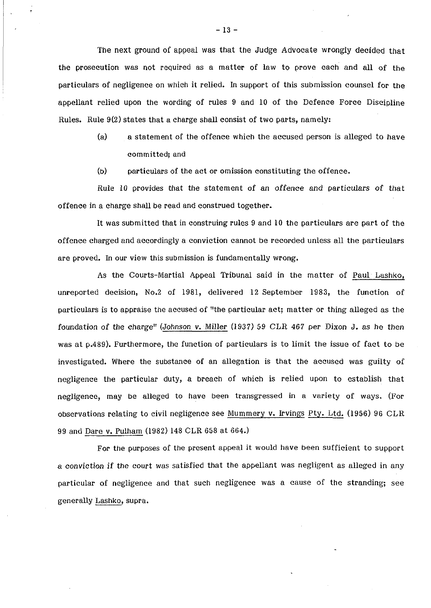The next ground of appeal was that the Judge Advocate wrongly decided that the prosecution was not required as a matter of law to prove each and all of the particulars of negligence on which it relied. In support of this submission counsel for the appellant relied upon the wording of rules 9 and 10 of the Defence Force Discipline Rules. Rule  $9(2)$  states that a charge shall consist of two parts, namely:

- (a) a statement of the offence which the accused person is alleged to have committed; and
- (b) particulars of the act or omission constituting the offence.

Rule 10 provides that the statement of an offence and particulars of that offence in a charge shall be read and construed together.

It was submitted that in construing rules 9 and 10 the particulars are part of the offence charged and accordingly a conviction cannot be recorded unless all the particulars are proved. In our view this submission is fundamentally wrong.

As the Courts-Martial Appeal Tribunal said in the matter of Paul Lashko, unreported decision, No.2 of 1981, delivered 12 September 1983, the function of particulars is to appraise the accused of "the particular act; matter or thing alleged as the foundation of the charge" (Johnson v. Miller (1937) 59 CLR 467 per Dixon J. as he then was at p.489). Furthermore, the function of particulars is to limit the issue of fact to be investigated. Where the substance of an allegation is that the accused was guilty of negligence the particular duty, a breach of which is relied upon to establish that negligence, may be alleged to have been transgressed in a variety of ways. (For negligence, may be alleged to have been transgressed in a variety of ways. (For<br>observations relating to civil negligence see <u>Mummery v. Irvings Pty. Ltd.</u> (1956) 96 CLR 99 and Dare v. Pulham (1982) 148 CLR 658 at 664.)

For the purposes of the present appeal it would have been sufficient to support a conviction if the court was satisfied that the appellant was negligent as alleged in any particular of negligence and that such negligence was a cause of the stranding; see generally Lashko, supra.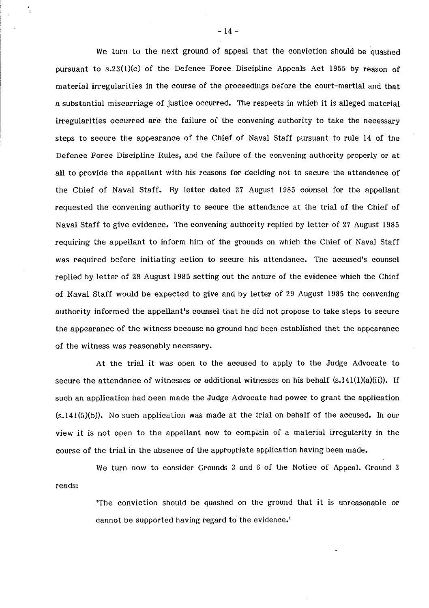We turn to the next ground of appeal that the conviction should be quashed pursuant to s.23(l)(c) of the Defence Force Discipline Appeals Act 1955 by reason of material irregularities in the course of the proceedings before the court-martial and that a substantial miscarriage of justice occurred. The respects in which it is alleged material irregularities occurred are the failure of the convening authority to take the necessary steps to secure the appearance of the Chief of Naval Staff pursuant to rule 14 of the Defence Force Discipline Rules, and the failure of the convening authority properly or at all to provide the appellant with his reasons for deciding not to secure the attendance of the Chief of Naval Staff. By letter dated 27 August 1985 counsel for the appellant requested the convening authority to secure the attendance at the trial of the Chief of Naval Staff to give evidence. The convening authority replied by letter of 27 August 1985 requiring the appellant to inform him of the grounds on which the Chief of Naval Staff was required before initiating action to secure his attendance. The accused's counsel replied by letter of 28 August 1985 setting out the nature of the evidence which the Chief of Naval Staff would be expected to give and by letter of 29 August 1985 the convening authority informed the appellant's counsel that he did not propose to take steps to secure the appearance of the witness because no ground had been established that the appearance of the witness was reasonably necessary.

At the trial it was open to the accused to apply to the Judge Advocate to secure the attendance of witnesses or additional witnesses on his behalf  $(s.141(1)(a)(ii))$ . If such an application had been made the Judge Advocate had power to grant the application  $(s.141(5)(b))$ . No such application was made at the trial on behalf of the accused. In our view it is not open to the appellant now to complain of a material irregularity in the course of the trial in the absence of the appropriate application having been made.

We turn now to consider Grounds 3 and 6 of the Notice of Appeal. Ground 3 reads:

> 'The conviction should be quashed on the ground that it is unreasonable or cannot be supported having regard to the evidence.<sup>1</sup>

- 14 -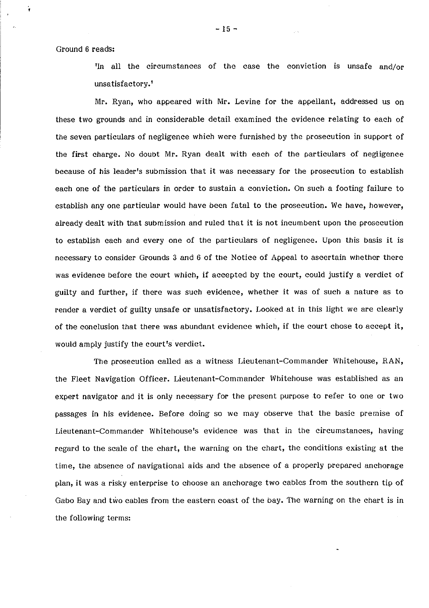Ground 6 reads:

'In all the circumstances of the case the conviction is unsafe and/or unsatisfactory.'

Mr. Ryan, who appeared with Mr. Levine for the appellant, addressed us on these two grounds and in considerable detail examined the evidence relating to each of the seven particulars of negligence which were furnished by the prosecution in support of the first charge. No doubt Mr. Ryan dealt with each of the particulars of negligence because of his leader's submission that it was necessary for the prosecution to establish each one of the particulars in order to sustain a conviction. On such a footing failure to establish any one particular would have been fatal to the prosecution. We have, however, already dealt with that submission and ruled that it is not incumbent upon the prosecution to establish each and every one of the particulars of negligence. Upon this basis it is necessary to consider Grounds **3** and 6 of the Notice of Appeal to ascertain whether there was evidence before the court which, if accepted by the court, could justify a verdict of guilty and further, if there was such evidence, whether it was of such a nature as to render a verdict of guilty unsafe or unsatisfactory. Looked at in this light we are clearly of the conclusion that there was abundant evidence which, if the court chose to accept it, would amply justify the court's verdict.

The prosecution called as a witness Lieutenant-Commander Whitehouse, RAN, the Fleet Navigation Officer. Lieutenant-Commander Whitehouse was established as an expert navigator and it is only necessary for the present purpose to refer to one or two passages in his evidence. Before doing so we may observe that the basic premise of Lieutenant-Commander Whitehouse's evidence was that in the circumstances, having regard to the scale of the chart, the warning on the chart, the conditions existing at the time, the absence of navigational aids and the absence of a properly prepared anchorage plan, it was a risky enterprise to choose an anchorage two cables from the southern tip of Gabo Bay and two cables from the eastern coast of the bay. The warning on the chart is in the following terms:

 $-15 -$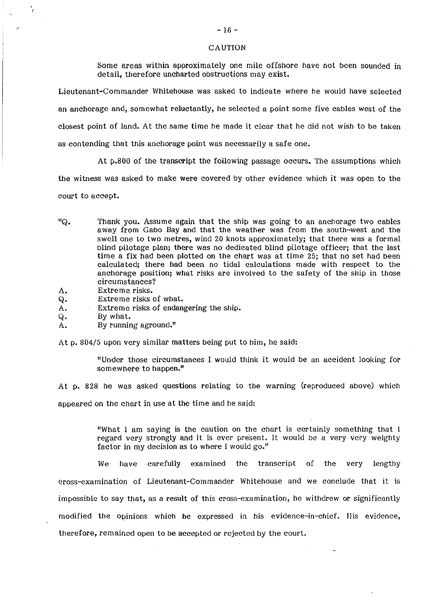#### CAUTION

Some areas within approximately one mile offshore have not been Sounded in detail, therefore uncharted obstructions may exist.

Lieutenant-Commander Whitehouse was asked to indicate where he would have selected an anchorage and, somewhat reluctantly, he selected a point some five cables west of the closest point of land. At the same time he made it clear that he did not wish to be taken as contending that this anchorage point was necessarily a safe one.

At p.800 of the transcript the following passage occurs. The assumptions which

the witness was asked to make were covered by other evidence which it was open to the

court to accept.

ċ

- "Q. Thank you. Assume again that the ship was going to an anchorage two cables away from Gabo Bay and that the weather was from the south-west and the swell one to two metres, wind 20 knots approximately; that there was a formal blind pilotage plan; there was no dedicated blind pilotage officer; that the last time a fix had been plotted on the chart was at time 25; that no set had been calculated; there had been no tidal calculations made with respect to the anchorage position; what risks are involved to the safety of the ship in those circumstances?
- A. Extreme risks.
- Q. Extreme risks of what.<br>A. Extreme risks of endang
- Extreme risks of endangering the ship.
- Q. By what.<br>A. By runnin
- By running aground.<sup> $\mathfrak{m}$ </sup>

At p. 804/5 upon very similar matters being put to him, he said:

"Under those circumstances I would think it would be an accident looking for somewhere to happen."

At p. 828 he was asked questions relating to the warning (reproduced above) which appeared on the chart in use at the time and he said:

> "What I am saying is the caution on the chart is certainly something that 1 regard very strongly and it is ever present. It would be a very very weighty factor in my decision as to where 1 would go."

We have carefully examined the transcript of the very lengthy cross-examination of Lieutenant-Commander Whitehouse and we conclude that it is impossible to say that, as a result of this cross-examination, he withdrew or significantly modified the opinions which he expressed in his evidence-in-chief. His evidence, therefore, remained open to be accepted or rejected by the court.